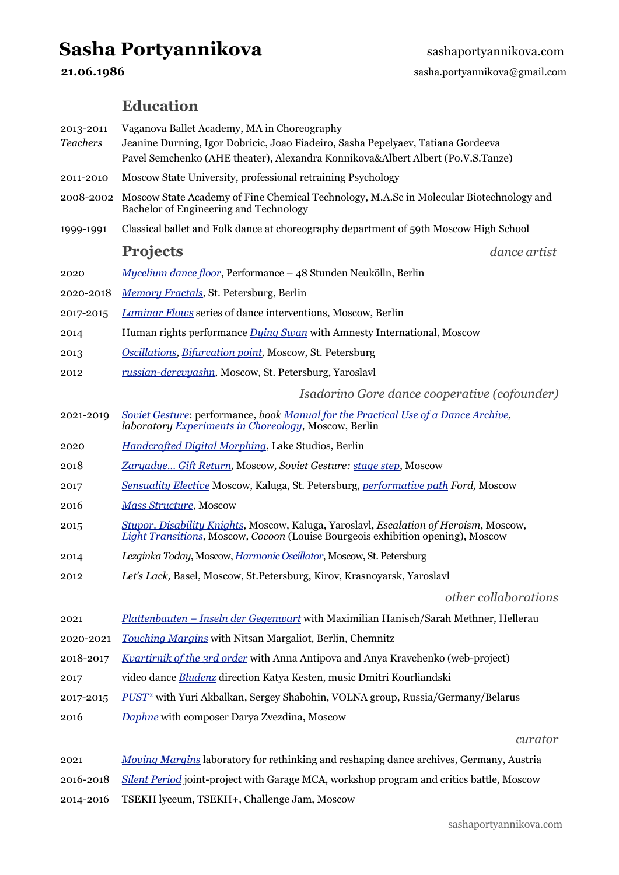# Sasha Portyannikova **Sashaportyannikova.com**

**21.06.1986** sasha.portyannikova@gmail.com

# **Education**

| 2013-2011<br><b>Teachers</b> | Vaganova Ballet Academy, MA in Choreography<br>Jeanine Durning, Igor Dobricic, Joao Fiadeiro, Sasha Pepelyaev, Tatiana Gordeeva<br>Pavel Semchenko (AHE theater), Alexandra Konnikova&Albert Albert (Po.V.S.Tanze) |
|------------------------------|--------------------------------------------------------------------------------------------------------------------------------------------------------------------------------------------------------------------|
| 2011-2010                    | Moscow State University, professional retraining Psychology                                                                                                                                                        |
| 2008-2002                    | Moscow State Academy of Fine Chemical Technology, M.A.Sc in Molecular Biotechnology and<br>Bachelor of Engineering and Technology                                                                                  |
| 1999-1991                    | Classical ballet and Folk dance at choreography department of 59th Moscow High School                                                                                                                              |
|                              | <b>Projects</b><br>dance artist                                                                                                                                                                                    |
| 2020                         | Mycelium dance floor, Performance – 48 Stunden Neukölln, Berlin                                                                                                                                                    |
| 2020-2018                    | Memory Fractals, St. Petersburg, Berlin                                                                                                                                                                            |
| 2017-2015                    | Laminar Flows series of dance interventions, Moscow, Berlin                                                                                                                                                        |
| 2014                         | Human rights performance <i>Dying Swan</i> with Amnesty International, Moscow                                                                                                                                      |
| 2013                         | Oscillations, Bifurcation point, Moscow, St. Petersburg                                                                                                                                                            |
| 2012                         | russian-derevyashn, Moscow, St. Petersburg, Yaroslavl                                                                                                                                                              |
|                              | Isadorino Gore dance cooperative (cofounder)                                                                                                                                                                       |
| 2021-2019                    | Soviet Gesture: performance, book Manual for the Practical Use of a Dance Archive,<br>laboratory Experiments in Choreology, Moscow, Berlin                                                                         |
| 2020                         | Handcrafted Digital Morphing, Lake Studios, Berlin                                                                                                                                                                 |
| 2018                         | Zaryadye Gift Return, Moscow, Soviet Gesture: stage step, Moscow                                                                                                                                                   |
| 2017                         | Sensuality Elective Moscow, Kaluga, St. Petersburg, <i>performative path Ford</i> , Moscow                                                                                                                         |
| 2016                         | <b>Mass Structure</b> , Moscow                                                                                                                                                                                     |
| 2015                         | Stupor. Disability Knights, Moscow, Kaluga, Yaroslavl, Escalation of Heroism, Moscow,<br><b>Light Transitions, Moscow, Cocoon (Louise Bourgeois exhibition opening), Moscow</b>                                    |
| 2014                         | Lezginka Today, Moscow, <i>Harmonic Oscillator</i> , Moscow, St. Petersburg                                                                                                                                        |
| 2012                         | Let's Lack, Basel, Moscow, St. Petersburg, Kirov, Krasnoyarsk, Yaroslavl                                                                                                                                           |
|                              | other collaborations                                                                                                                                                                                               |
| 2021                         | Plattenbauten - Inseln der Gegenwart with Maximilian Hanisch/Sarah Methner, Hellerau                                                                                                                               |
| 2020-2021                    | Touching Margins with Nitsan Margaliot, Berlin, Chemnitz                                                                                                                                                           |
| 2018-2017                    | Kvartirnik of the 3rd order with Anna Antipova and Anya Kravchenko (web-project)                                                                                                                                   |
| 2017                         | video dance Bludenz direction Katya Kesten, music Dmitri Kourliandski                                                                                                                                              |
| 2017-2015                    | PUST <sup>*</sup> with Yuri Akbalkan, Sergey Shabohin, VOLNA group, Russia/Germany/Belarus                                                                                                                         |
| 2016                         | Daphne with composer Darya Zvezdina, Moscow                                                                                                                                                                        |
|                              | curator                                                                                                                                                                                                            |
| 2021                         | Moving Margins laboratory for rethinking and reshaping dance archives, Germany, Austria                                                                                                                            |
| 2016-2018                    | Silent Period joint-project with Garage MCA, workshop program and critics battle, Moscow                                                                                                                           |

2014-2016 TSEKH lyceum, TSEKH+, Challenge Jam, Moscow

[sashaportyannikova.com](http://sashaportyannikova.com)